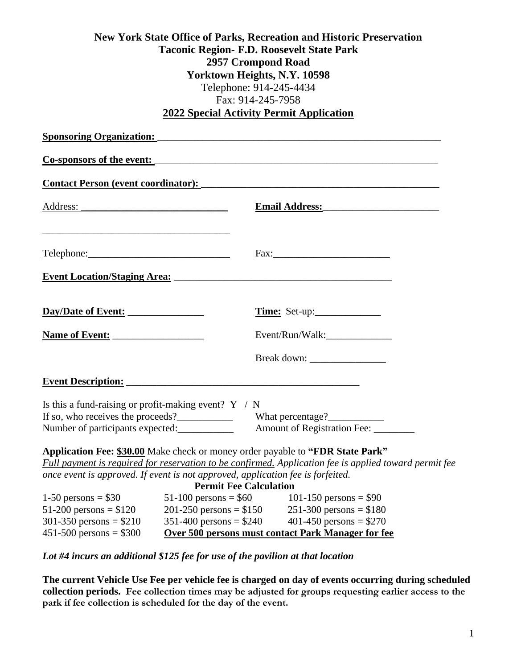### **New York State Office of Parks, Recreation and Historic Preservation Taconic Region- F.D. Roosevelt State Park 2957 Crompond Road Yorktown Heights, N.Y. 10598** Telephone: 914-245-4434 Fax: 914-245-7958 **2022 Special Activity Permit Application**

| <u> 2012 opeelal Activity I crimt Application</u>                                                                                                                                                                              |                                                                                   |                                                                                                                                                                                          |
|--------------------------------------------------------------------------------------------------------------------------------------------------------------------------------------------------------------------------------|-----------------------------------------------------------------------------------|------------------------------------------------------------------------------------------------------------------------------------------------------------------------------------------|
| <b>Sponsoring Organization:</b>                                                                                                                                                                                                |                                                                                   |                                                                                                                                                                                          |
|                                                                                                                                                                                                                                |                                                                                   | Co-sponsors of the event:                                                                                                                                                                |
|                                                                                                                                                                                                                                |                                                                                   |                                                                                                                                                                                          |
|                                                                                                                                                                                                                                |                                                                                   | Email Address: March 2014                                                                                                                                                                |
| Telephone: The Contract of the Contract of the Contract of the Contract of the Contract of the Contract of the Contract of the Contract of the Contract of the Contract of the Contract of the Contract of the Contract of the |                                                                                   | Fax:                                                                                                                                                                                     |
|                                                                                                                                                                                                                                |                                                                                   |                                                                                                                                                                                          |
| Day/Date of Event:                                                                                                                                                                                                             |                                                                                   | Time: Set-up:                                                                                                                                                                            |
|                                                                                                                                                                                                                                |                                                                                   | Event/Run/Walk:________________                                                                                                                                                          |
|                                                                                                                                                                                                                                |                                                                                   |                                                                                                                                                                                          |
| <b>Event Description:</b>                                                                                                                                                                                                      |                                                                                   |                                                                                                                                                                                          |
| Is this a fund-raising or profit-making event? $Y / N$<br>If so, who receives the proceeds?<br>Number of participants expected:                                                                                                |                                                                                   | What percentage?<br>Amount of Registration Fee: ________                                                                                                                                 |
| once event is approved. If event is not approved, application fee is forfeited.                                                                                                                                                | <b>Permit Fee Calculation</b>                                                     | Application Fee: \$30.00 Make check or money order payable to "FDR State Park"<br>Full payment is required for reservation to be confirmed. Application fee is applied toward permit fee |
| 1-50 persons = $$30$<br>$51-200$ persons = \$120<br>301-350 persons = $$210$<br>$451 - 500$ persons = \$300                                                                                                                    | $51-100$ persons = \$60<br>$201-250$ persons = \$150<br>$351-400$ persons = \$240 | 101-150 persons = $$90$<br>$251-300$ persons = \$180<br>401-450 persons = $$270$<br>Over 500 persons must contact Park Manager for fee                                                   |

*Lot #4 incurs an additional \$125 fee for use of the pavilion at that location*

**The current Vehicle Use Fee per vehicle fee is charged on day of events occurring during scheduled collection periods. Fee collection times may be adjusted for groups requesting earlier access to the park if fee collection is scheduled for the day of the event.**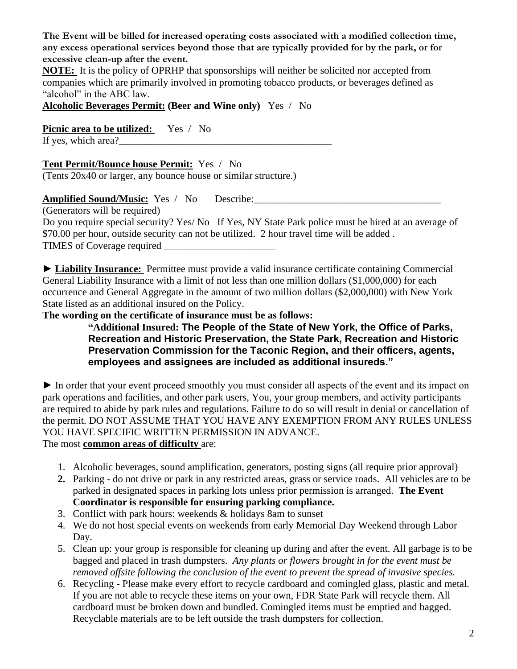**The Event will be billed for increased operating costs associated with a modified collection time, any excess operational services beyond those that are typically provided for by the park, or for excessive clean-up after the event.**

**NOTE:** It is the policy of OPRHP that sponsorships will neither be solicited nor accepted from companies which are primarily involved in promoting tobacco products, or beverages defined as "alcohol" in the ABC law.

**Alcoholic Beverages Permit: (Beer and Wine only)** Yes / No

**Picnic area to be utilized:** Yes / No

If yes, which area?

**Tent Permit/Bounce house Permit:** Yes / No

(Tents 20x40 or larger, any bounce house or similar structure.)

**Amplified Sound/Music:** Yes / No Describe:\_\_\_\_\_\_\_\_\_\_\_\_\_\_\_\_\_\_\_\_\_\_\_\_\_\_\_\_\_\_\_\_\_\_\_\_\_

(Generators will be required)

Do you require special security? Yes/ No If Yes, NY State Park police must be hired at an average of \$70.00 per hour, outside security can not be utilized. 2 hour travel time will be added . TIMES of Coverage required \_\_\_\_\_\_\_\_\_\_\_\_\_\_\_\_\_\_\_\_\_\_

► **Liability Insurance:** Permittee must provide a valid insurance certificate containing Commercial General Liability Insurance with a limit of not less than one million dollars (\$1,000,000) for each occurrence and General Aggregate in the amount of two million dollars (\$2,000,000) with New York State listed as an additional insured on the Policy.

**The wording on the certificate of insurance must be as follows:**

**"Additional Insured: The People of the State of New York, the Office of Parks, Recreation and Historic Preservation, the State Park, Recreation and Historic Preservation Commission for the Taconic Region, and their officers, agents, employees and assignees are included as additional insureds."**

► In order that your event proceed smoothly you must consider all aspects of the event and its impact on park operations and facilities, and other park users, You, your group members, and activity participants are required to abide by park rules and regulations. Failure to do so will result in denial or cancellation of the permit. DO NOT ASSUME THAT YOU HAVE ANY EXEMPTION FROM ANY RULES UNLESS YOU HAVE SPECIFIC WRITTEN PERMISSION IN ADVANCE. The most **common areas of difficulty** are:

- 1. Alcoholic beverages, sound amplification, generators, posting signs (all require prior approval)
- **2.** Parking do not drive or park in any restricted areas, grass or service roads. All vehicles are to be parked in designated spaces in parking lots unless prior permission is arranged. **The Event Coordinator is responsible for ensuring parking compliance.**
- 3. Conflict with park hours: weekends & holidays 8am to sunset
- 4. We do not host special events on weekends from early Memorial Day Weekend through Labor Day.
- 5. Clean up: your group is responsible for cleaning up during and after the event. All garbage is to be bagged and placed in trash dumpsters. *Any plants or flowers brought in for the event must be removed offsite following the conclusion of the event to prevent the spread of invasive species.*
- 6. Recycling Please make every effort to recycle cardboard and comingled glass, plastic and metal. If you are not able to recycle these items on your own, FDR State Park will recycle them. All cardboard must be broken down and bundled. Comingled items must be emptied and bagged. Recyclable materials are to be left outside the trash dumpsters for collection.